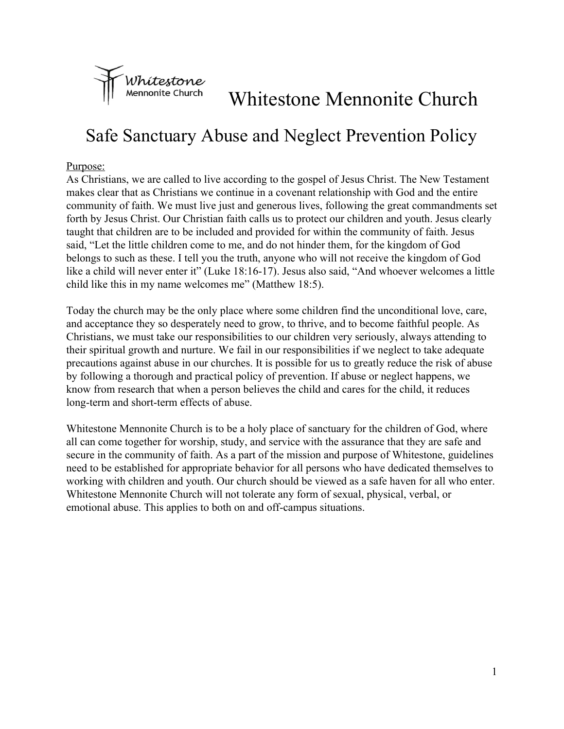

# Whitestone Mennonite Church

## Safe Sanctuary Abuse and Neglect Prevention Policy

#### Purpose:

As Christians, we are called to live according to the gospel of Jesus Christ. The New Testament makes clear that as Christians we continue in a covenant relationship with God and the entire community of faith. We must live just and generous lives, following the great commandments set forth by Jesus Christ. Our Christian faith calls us to protect our children and youth. Jesus clearly taught that children are to be included and provided for within the community of faith. Jesus said, "Let the little children come to me, and do not hinder them, for the kingdom of God belongs to such as these. I tell you the truth, anyone who will not receive the kingdom of God like a child will never enter it" (Luke 18:16-17). Jesus also said, "And whoever welcomes a little child like this in my name welcomes me" (Matthew 18:5).

Today the church may be the only place where some children find the unconditional love, care, and acceptance they so desperately need to grow, to thrive, and to become faithful people. As Christians, we must take our responsibilities to our children very seriously, always attending to their spiritual growth and nurture. We fail in our responsibilities if we neglect to take adequate precautions against abuse in our churches. It is possible for us to greatly reduce the risk of abuse by following a thorough and practical policy of prevention. If abuse or neglect happens, we know from research that when a person believes the child and cares for the child, it reduces long-term and short-term effects of abuse.

Whitestone Mennonite Church is to be a holy place of sanctuary for the children of God, where all can come together for worship, study, and service with the assurance that they are safe and secure in the community of faith. As a part of the mission and purpose of Whitestone, guidelines need to be established for appropriate behavior for all persons who have dedicated themselves to working with children and youth. Our church should be viewed as a safe haven for all who enter. Whitestone Mennonite Church will not tolerate any form of sexual, physical, verbal, or emotional abuse. This applies to both on and off-campus situations.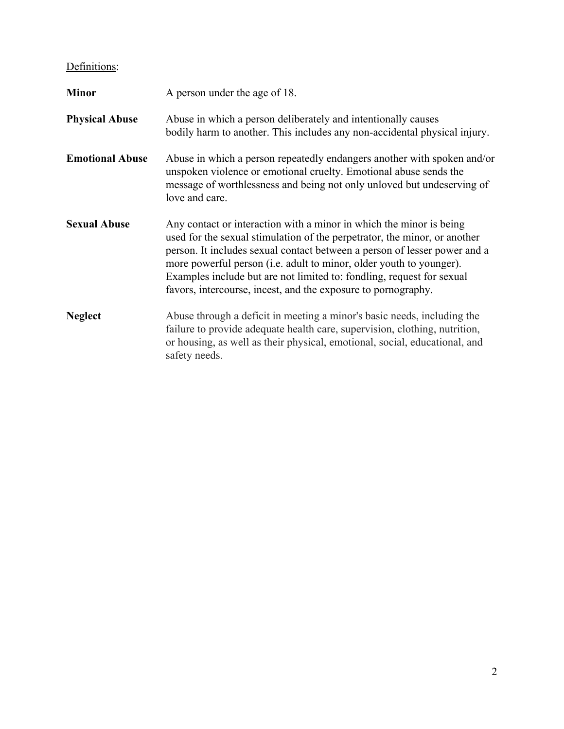### Definitions:

| <b>Minor</b>           | A person under the age of 18.<br>Abuse in which a person deliberately and intentionally causes<br>bodily harm to another. This includes any non-accidental physical injury.                                                                                                                                                                                                                                                                    |  |  |
|------------------------|------------------------------------------------------------------------------------------------------------------------------------------------------------------------------------------------------------------------------------------------------------------------------------------------------------------------------------------------------------------------------------------------------------------------------------------------|--|--|
| <b>Physical Abuse</b>  |                                                                                                                                                                                                                                                                                                                                                                                                                                                |  |  |
| <b>Emotional Abuse</b> | Abuse in which a person repeatedly endangers another with spoken and/or<br>unspoken violence or emotional cruelty. Emotional abuse sends the<br>message of worthlessness and being not only unloved but undeserving of<br>love and care.                                                                                                                                                                                                       |  |  |
| <b>Sexual Abuse</b>    | Any contact or interaction with a minor in which the minor is being<br>used for the sexual stimulation of the perpetrator, the minor, or another<br>person. It includes sexual contact between a person of lesser power and a<br>more powerful person (i.e. adult to minor, older youth to younger).<br>Examples include but are not limited to: fondling, request for sexual<br>favors, intercourse, incest, and the exposure to pornography. |  |  |
| <b>Neglect</b>         | Abuse through a deficit in meeting a minor's basic needs, including the<br>failure to provide adequate health care, supervision, clothing, nutrition,<br>or housing, as well as their physical, emotional, social, educational, and<br>safety needs.                                                                                                                                                                                           |  |  |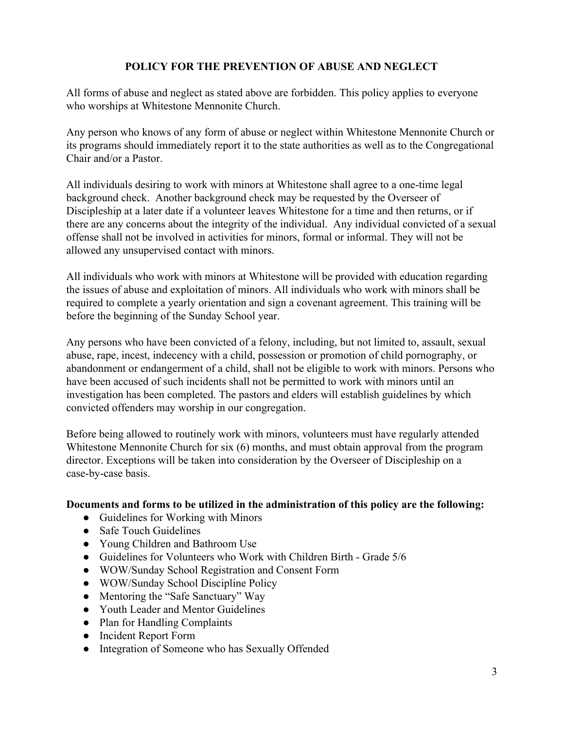#### **POLICY FOR THE PREVENTION OF ABUSE AND NEGLECT**

All forms of abuse and neglect as stated above are forbidden. This policy applies to everyone who worships at Whitestone Mennonite Church.

Any person who knows of any form of abuse or neglect within Whitestone Mennonite Church or its programs should immediately report it to the state authorities as well as to the Congregational Chair and/or a Pastor.

All individuals desiring to work with minors at Whitestone shall agree to a one-time legal background check. Another background check may be requested by the Overseer of Discipleship at a later date if a volunteer leaves Whitestone for a time and then returns, or if there are any concerns about the integrity of the individual. Any individual convicted of a sexual offense shall not be involved in activities for minors, formal or informal. They will not be allowed any unsupervised contact with minors.

All individuals who work with minors at Whitestone will be provided with education regarding the issues of abuse and exploitation of minors. All individuals who work with minors shall be required to complete a yearly orientation and sign a covenant agreement. This training will be before the beginning of the Sunday School year.

Any persons who have been convicted of a felony, including, but not limited to, assault, sexual abuse, rape, incest, indecency with a child, possession or promotion of child pornography, or abandonment or endangerment of a child, shall not be eligible to work with minors. Persons who have been accused of such incidents shall not be permitted to work with minors until an investigation has been completed. The pastors and elders will establish guidelines by which convicted offenders may worship in our congregation.

Before being allowed to routinely work with minors, volunteers must have regularly attended Whitestone Mennonite Church for six (6) months, and must obtain approval from the program director. Exceptions will be taken into consideration by the Overseer of Discipleship on a case-by-case basis.

#### **Documents and forms to be utilized in the administration of this policy are the following:**

- Guidelines for Working with Minors
- Safe Touch Guidelines
- Young Children and Bathroom Use
- Guidelines for Volunteers who Work with Children Birth Grade 5/6
- WOW/Sunday School Registration and Consent Form
- WOW/Sunday School Discipline Policy
- Mentoring the "Safe Sanctuary" Way
- Youth Leader and Mentor Guidelines
- Plan for Handling Complaints
- Incident Report Form
- Integration of Someone who has Sexually Offended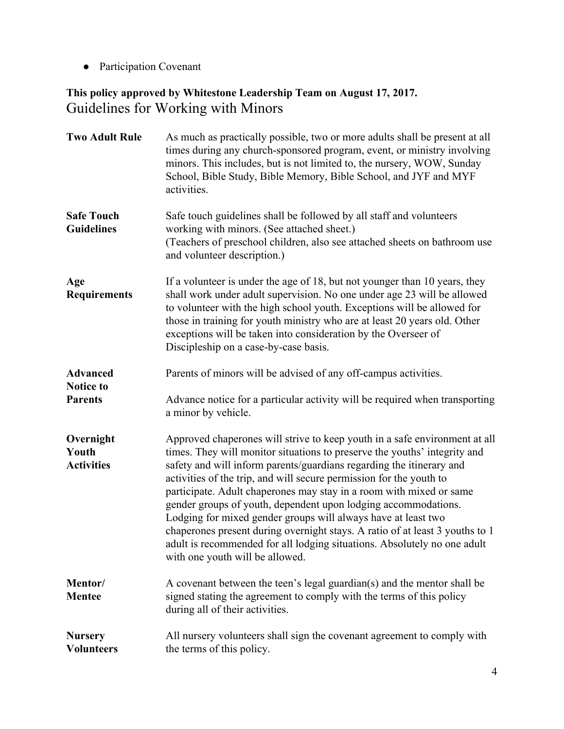● Participation Covenant

### **This policy approved by Whitestone Leadership Team on August 17, 2017.** Guidelines for Working with Minors

| <b>Two Adult Rule</b>                   | As much as practically possible, two or more adults shall be present at all<br>times during any church-sponsored program, event, or ministry involving<br>minors. This includes, but is not limited to, the nursery, WOW, Sunday<br>School, Bible Study, Bible Memory, Bible School, and JYF and MYF<br>activities.                                                                                                                                                                                                                                                                                                                                                                                             |  |
|-----------------------------------------|-----------------------------------------------------------------------------------------------------------------------------------------------------------------------------------------------------------------------------------------------------------------------------------------------------------------------------------------------------------------------------------------------------------------------------------------------------------------------------------------------------------------------------------------------------------------------------------------------------------------------------------------------------------------------------------------------------------------|--|
| <b>Safe Touch</b><br><b>Guidelines</b>  | Safe touch guidelines shall be followed by all staff and volunteers<br>working with minors. (See attached sheet.)<br>(Teachers of preschool children, also see attached sheets on bathroom use<br>and volunteer description.)                                                                                                                                                                                                                                                                                                                                                                                                                                                                                   |  |
| Age<br><b>Requirements</b>              | If a volunteer is under the age of 18, but not younger than 10 years, they<br>shall work under adult supervision. No one under age 23 will be allowed<br>to volunteer with the high school youth. Exceptions will be allowed for<br>those in training for youth ministry who are at least 20 years old. Other<br>exceptions will be taken into consideration by the Overseer of<br>Discipleship on a case-by-case basis.                                                                                                                                                                                                                                                                                        |  |
| <b>Advanced</b>                         | Parents of minors will be advised of any off-campus activities.                                                                                                                                                                                                                                                                                                                                                                                                                                                                                                                                                                                                                                                 |  |
| <b>Notice to</b><br><b>Parents</b>      | Advance notice for a particular activity will be required when transporting<br>a minor by vehicle.                                                                                                                                                                                                                                                                                                                                                                                                                                                                                                                                                                                                              |  |
| Overnight<br>Youth<br><b>Activities</b> | Approved chaperones will strive to keep youth in a safe environment at all<br>times. They will monitor situations to preserve the youths' integrity and<br>safety and will inform parents/guardians regarding the itinerary and<br>activities of the trip, and will secure permission for the youth to<br>participate. Adult chaperones may stay in a room with mixed or same<br>gender groups of youth, dependent upon lodging accommodations.<br>Lodging for mixed gender groups will always have at least two<br>chaperones present during overnight stays. A ratio of at least 3 youths to 1<br>adult is recommended for all lodging situations. Absolutely no one adult<br>with one youth will be allowed. |  |
| Mentor/<br><b>Mentee</b>                | A covenant between the teen's legal guardian(s) and the mentor shall be<br>signed stating the agreement to comply with the terms of this policy<br>during all of their activities.                                                                                                                                                                                                                                                                                                                                                                                                                                                                                                                              |  |
| <b>Nursery</b><br><b>Volunteers</b>     | All nursery volunteers shall sign the covenant agreement to comply with<br>the terms of this policy.                                                                                                                                                                                                                                                                                                                                                                                                                                                                                                                                                                                                            |  |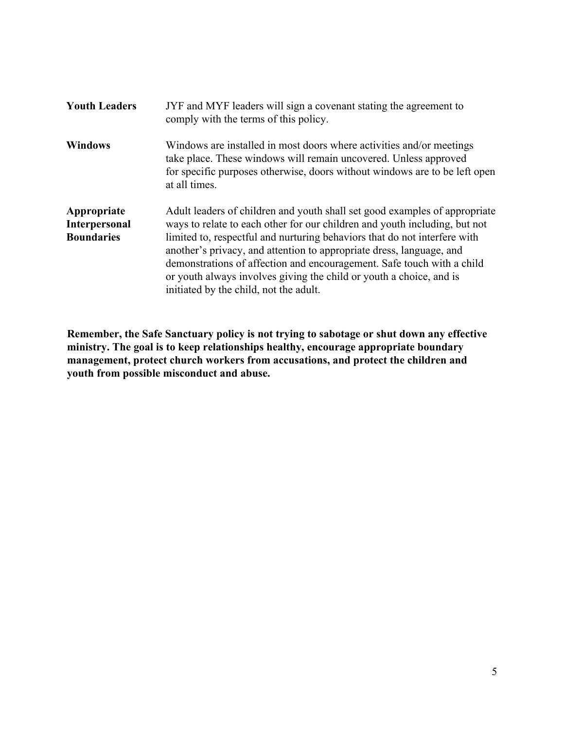| <b>Youth Leaders</b>                              | JYF and MYF leaders will sign a covenant stating the agreement to<br>comply with the terms of this policy.                                                                                                                                                                                                                                                                                                                                                                                               |
|---------------------------------------------------|----------------------------------------------------------------------------------------------------------------------------------------------------------------------------------------------------------------------------------------------------------------------------------------------------------------------------------------------------------------------------------------------------------------------------------------------------------------------------------------------------------|
| <b>Windows</b>                                    | Windows are installed in most doors where activities and/or meetings<br>take place. These windows will remain uncovered. Unless approved<br>for specific purposes otherwise, doors without windows are to be left open<br>at all times.                                                                                                                                                                                                                                                                  |
| Appropriate<br>Interpersonal<br><b>Boundaries</b> | Adult leaders of children and youth shall set good examples of appropriate<br>ways to relate to each other for our children and youth including, but not<br>limited to, respectful and nurturing behaviors that do not interfere with<br>another's privacy, and attention to appropriate dress, language, and<br>demonstrations of affection and encouragement. Safe touch with a child<br>or youth always involves giving the child or youth a choice, and is<br>initiated by the child, not the adult. |

**Remember, the Safe Sanctuary policy is not trying to sabotage or shut down any effective ministry. The goal is to keep relationships healthy, encourage appropriate boundary management, protect church workers from accusations, and protect the children and youth from possible misconduct and abuse.**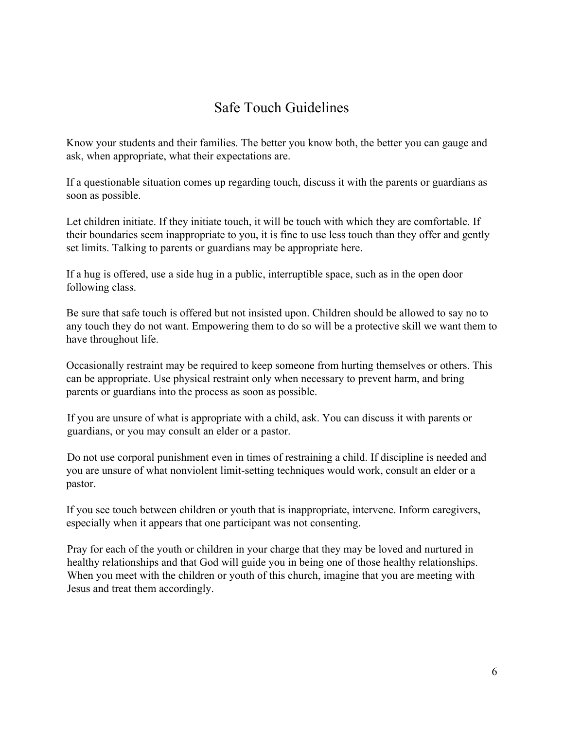### Safe Touch Guidelines

Know your students and their families. The better you know both, the better you can gauge and ask, when appropriate, what their expectations are.

If a questionable situation comes up regarding touch, discuss it with the parents or guardians as soon as possible.

Let children initiate. If they initiate touch, it will be touch with which they are comfortable. If their boundaries seem inappropriate to you, it is fine to use less touch than they offer and gently set limits. Talking to parents or guardians may be appropriate here.

If a hug is offered, use a side hug in a public, interruptible space, such as in the open door following class.

Be sure that safe touch is offered but not insisted upon. Children should be allowed to say no to any touch they do not want. Empowering them to do so will be a protective skill we want them to have throughout life.

Occasionally restraint may be required to keep someone from hurting themselves or others. This can be appropriate. Use physical restraint only when necessary to prevent harm, and bring parents or guardians into the process as soon as possible.

If you are unsure of what is appropriate with a child, ask. You can discuss it with parents or guardians, or you may consult an elder or a pastor.

Do not use corporal punishment even in times of restraining a child. If discipline is needed and you are unsure of what nonviolent limit-setting techniques would work, consult an elder or a pastor.

If you see touch between children or youth that is inappropriate, intervene. Inform caregivers, especially when it appears that one participant was not consenting.

Pray for each of the youth or children in your charge that they may be loved and nurtured in healthy relationships and that God will guide you in being one of those healthy relationships. When you meet with the children or youth of this church, imagine that you are meeting with Jesus and treat them accordingly.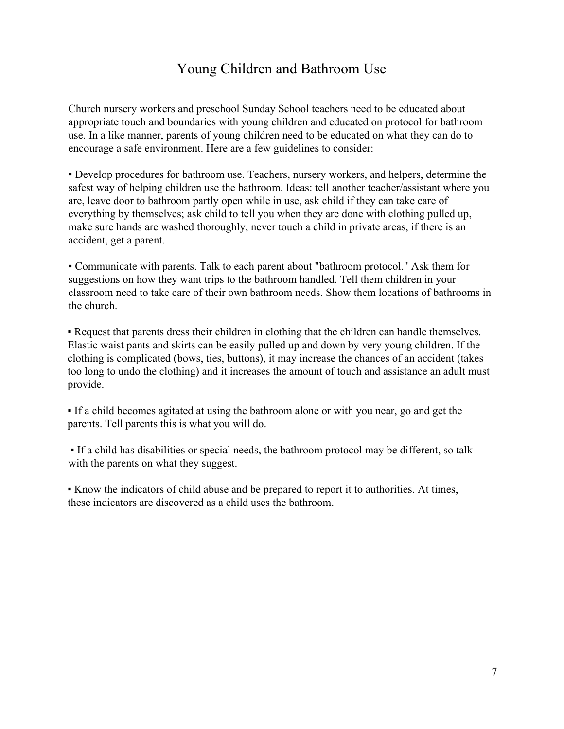### Young Children and Bathroom Use

Church nursery workers and preschool Sunday School teachers need to be educated about appropriate touch and boundaries with young children and educated on protocol for bathroom use. In a like manner, parents of young children need to be educated on what they can do to encourage a safe environment. Here are a few guidelines to consider:

▪ Develop procedures for bathroom use. Teachers, nursery workers, and helpers, determine the safest way of helping children use the bathroom. Ideas: tell another teacher/assistant where you are, leave door to bathroom partly open while in use, ask child if they can take care of everything by themselves; ask child to tell you when they are done with clothing pulled up, make sure hands are washed thoroughly, never touch a child in private areas, if there is an accident, get a parent.

▪ Communicate with parents. Talk to each parent about "bathroom protocol." Ask them for suggestions on how they want trips to the bathroom handled. Tell them children in your classroom need to take care of their own bathroom needs. Show them locations of bathrooms in the church.

▪ Request that parents dress their children in clothing that the children can handle themselves. Elastic waist pants and skirts can be easily pulled up and down by very young children. If the clothing is complicated (bows, ties, buttons), it may increase the chances of an accident (takes too long to undo the clothing) and it increases the amount of touch and assistance an adult must provide.

▪ If a child becomes agitated at using the bathroom alone or with you near, go and get the parents. Tell parents this is what you will do.

▪ If a child has disabilities or special needs, the bathroom protocol may be different, so talk with the parents on what they suggest.

▪ Know the indicators of child abuse and be prepared to report it to authorities. At times, these indicators are discovered as a child uses the bathroom.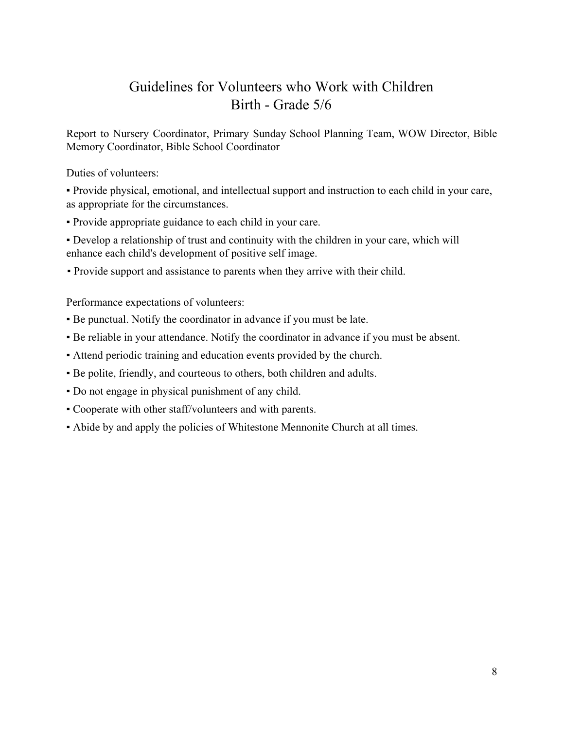### Guidelines for Volunteers who Work with Children Birth - Grade 5/6

Report to Nursery Coordinator, Primary Sunday School Planning Team, WOW Director, Bible Memory Coordinator, Bible School Coordinator

Duties of volunteers:

▪ Provide physical, emotional, and intellectual support and instruction to each child in your care, as appropriate for the circumstances.

▪ Provide appropriate guidance to each child in your care.

▪ Develop a relationship of trust and continuity with the children in your care, which will enhance each child's development of positive self image.

▪ Provide support and assistance to parents when they arrive with their child.

Performance expectations of volunteers:

- Be punctual. Notify the coordinator in advance if you must be late.
- Be reliable in your attendance. Notify the coordinator in advance if you must be absent.
- Attend periodic training and education events provided by the church.
- Be polite, friendly, and courteous to others, both children and adults.
- Do not engage in physical punishment of any child.
- Cooperate with other staff/volunteers and with parents.
- Abide by and apply the policies of Whitestone Mennonite Church at all times.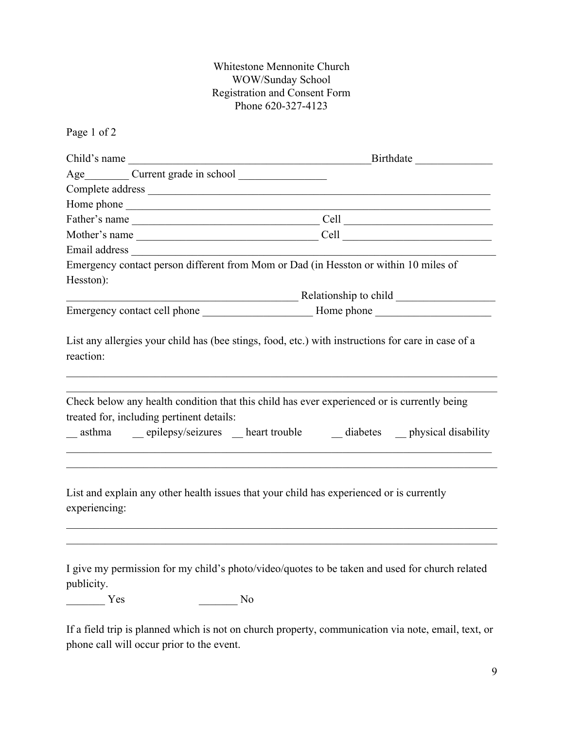#### Whitestone Mennonite Church WOW/Sunday School Registration and Consent Form Phone 620-327-4123

Page 1 of 2

| Child's name                              | Birthdate<br><u> 1989 - Johann Barn, fransk politik formuler (d. 19</u>                                                                                            |  |  |
|-------------------------------------------|--------------------------------------------------------------------------------------------------------------------------------------------------------------------|--|--|
|                                           |                                                                                                                                                                    |  |  |
|                                           |                                                                                                                                                                    |  |  |
|                                           |                                                                                                                                                                    |  |  |
|                                           | Father's name Cell Cell                                                                                                                                            |  |  |
|                                           | Mother's name $\qquad \qquad \qquad \qquad \text{Cell}$                                                                                                            |  |  |
|                                           |                                                                                                                                                                    |  |  |
| Hesston):                                 | Emergency contact person different from Mom or Dad (in Hesston or within 10 miles of                                                                               |  |  |
|                                           |                                                                                                                                                                    |  |  |
|                                           |                                                                                                                                                                    |  |  |
| reaction:                                 |                                                                                                                                                                    |  |  |
| treated for, including pertinent details: | Check below any health condition that this child has ever experienced or is currently being<br>asthma epilepsy/seizures heart trouble diabetes physical disability |  |  |
| experiencing:                             | List and explain any other health issues that your child has experienced or is currently                                                                           |  |  |
| publicity.<br>Yes                         | I give my permission for my child's photo/video/quotes to be taken and used for church related<br>N <sub>0</sub>                                                   |  |  |

If a field trip is planned which is not on church property, communication via note, email, text, or phone call will occur prior to the event.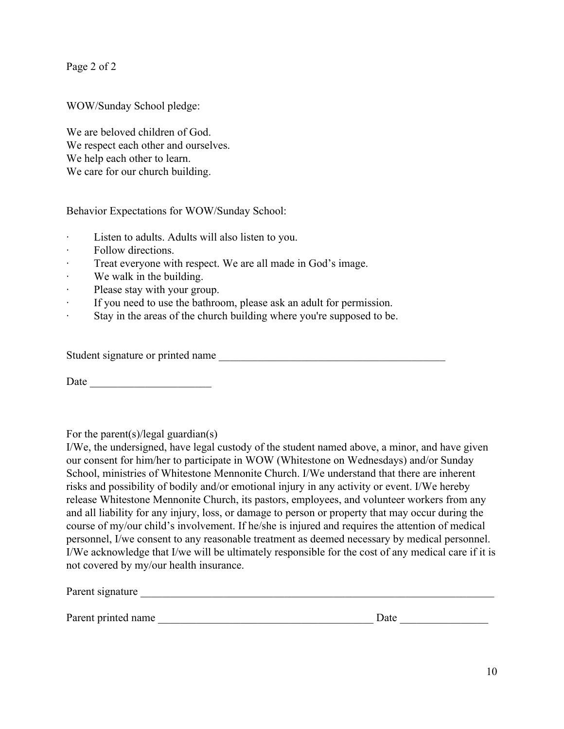Page 2 of 2

WOW/Sunday School pledge:

We are beloved children of God. We respect each other and ourselves. We help each other to learn. We care for our church building.

Behavior Expectations for WOW/Sunday School:

- Listen to adults. Adults will also listen to you.
- · Follow directions.
- Treat everyone with respect. We are all made in God's image.
- We walk in the building.
- Please stay with your group.
- If you need to use the bathroom, please ask an adult for permission.
- · Stay in the areas of the church building where you're supposed to be.

Student signature or printed name

Date  $\Box$ 

For the parent(s)/legal guardian(s)

I/We, the undersigned, have legal custody of the student named above, a minor, and have given our consent for him/her to participate in WOW (Whitestone on Wednesdays) and/or Sunday School, ministries of Whitestone Mennonite Church. I/We understand that there are inherent risks and possibility of bodily and/or emotional injury in any activity or event. I/We hereby release Whitestone Mennonite Church, its pastors, employees, and volunteer workers from any and all liability for any injury, loss, or damage to person or property that may occur during the course of my/our child's involvement. If he/she is injured and requires the attention of medical personnel, I/we consent to any reasonable treatment as deemed necessary by medical personnel. I/We acknowledge that I/we will be ultimately responsible for the cost of any medical care if it is not covered by my/our health insurance.

| Parent signature    |      |
|---------------------|------|
|                     |      |
| Parent printed name | Date |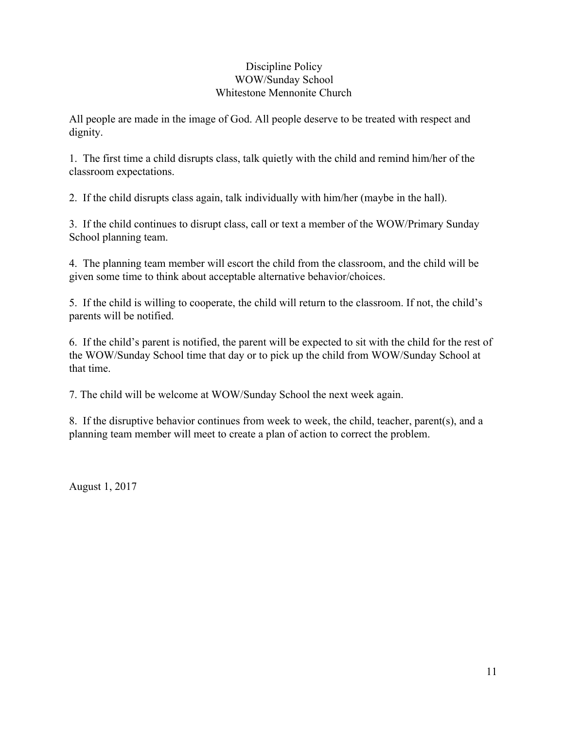#### Discipline Policy WOW/Sunday School Whitestone Mennonite Church

All people are made in the image of God. All people deserve to be treated with respect and dignity.

1. The first time a child disrupts class, talk quietly with the child and remind him/her of the classroom expectations.

2. If the child disrupts class again, talk individually with him/her (maybe in the hall).

3. If the child continues to disrupt class, call or text a member of the WOW/Primary Sunday School planning team.

4. The planning team member will escort the child from the classroom, and the child will be given some time to think about acceptable alternative behavior/choices.

5. If the child is willing to cooperate, the child will return to the classroom. If not, the child's parents will be notified.

6. If the child's parent is notified, the parent will be expected to sit with the child for the rest of the WOW/Sunday School time that day or to pick up the child from WOW/Sunday School at that time.

7. The child will be welcome at WOW/Sunday School the next week again.

8. If the disruptive behavior continues from week to week, the child, teacher, parent(s), and a planning team member will meet to create a plan of action to correct the problem.

August 1, 2017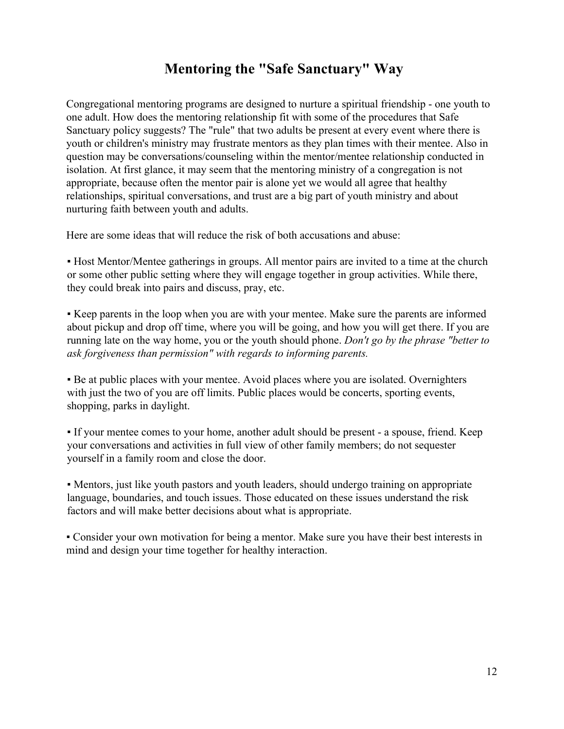### **Mentoring the "Safe Sanctuary" Way**

Congregational mentoring programs are designed to nurture a spiritual friendship - one youth to one adult. How does the mentoring relationship fit with some of the procedures that Safe Sanctuary policy suggests? The "rule" that two adults be present at every event where there is youth or children's ministry may frustrate mentors as they plan times with their mentee. Also in question may be conversations/counseling within the mentor/mentee relationship conducted in isolation. At first glance, it may seem that the mentoring ministry of a congregation is not appropriate, because often the mentor pair is alone yet we would all agree that healthy relationships, spiritual conversations, and trust are a big part of youth ministry and about nurturing faith between youth and adults.

Here are some ideas that will reduce the risk of both accusations and abuse:

▪ Host Mentor/Mentee gatherings in groups. All mentor pairs are invited to a time at the church or some other public setting where they will engage together in group activities. While there, they could break into pairs and discuss, pray, etc.

▪ Keep parents in the loop when you are with your mentee. Make sure the parents are informed about pickup and drop off time, where you will be going, and how you will get there. If you are running late on the way home, you or the youth should phone. *Don't go by the phrase "better to ask forgiveness than permission" with regards to informing parents.*

▪ Be at public places with your mentee. Avoid places where you are isolated. Overnighters with just the two of you are off limits. Public places would be concerts, sporting events, shopping, parks in daylight.

▪ If your mentee comes to your home, another adult should be present - a spouse, friend. Keep your conversations and activities in full view of other family members; do not sequester yourself in a family room and close the door.

▪ Mentors, just like youth pastors and youth leaders, should undergo training on appropriate language, boundaries, and touch issues. Those educated on these issues understand the risk factors and will make better decisions about what is appropriate.

▪ Consider your own motivation for being a mentor. Make sure you have their best interests in mind and design your time together for healthy interaction.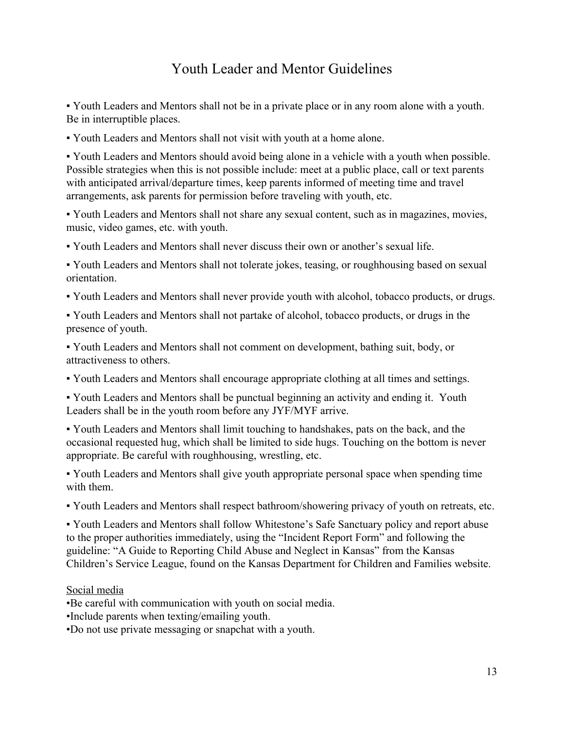## Youth Leader and Mentor Guidelines

▪ Youth Leaders and Mentors shall not be in a private place or in any room alone with a youth. Be in interruptible places.

▪ Youth Leaders and Mentors shall not visit with youth at a home alone.

▪ Youth Leaders and Mentors should avoid being alone in a vehicle with a youth when possible. Possible strategies when this is not possible include: meet at a public place, call or text parents with anticipated arrival/departure times, keep parents informed of meeting time and travel arrangements, ask parents for permission before traveling with youth, etc.

▪ Youth Leaders and Mentors shall not share any sexual content, such as in magazines, movies, music, video games, etc. with youth.

▪ Youth Leaders and Mentors shall never discuss their own or another's sexual life.

▪ Youth Leaders and Mentors shall not tolerate jokes, teasing, or roughhousing based on sexual orientation.

▪ Youth Leaders and Mentors shall never provide youth with alcohol, tobacco products, or drugs.

▪ Youth Leaders and Mentors shall not partake of alcohol, tobacco products, or drugs in the presence of youth.

▪ Youth Leaders and Mentors shall not comment on development, bathing suit, body, or attractiveness to others.

▪ Youth Leaders and Mentors shall encourage appropriate clothing at all times and settings.

▪ Youth Leaders and Mentors shall be punctual beginning an activity and ending it. Youth Leaders shall be in the youth room before any JYF/MYF arrive.

▪ Youth Leaders and Mentors shall limit touching to handshakes, pats on the back, and the occasional requested hug, which shall be limited to side hugs. Touching on the bottom is never appropriate. Be careful with roughhousing, wrestling, etc.

▪ Youth Leaders and Mentors shall give youth appropriate personal space when spending time with them.

▪ Youth Leaders and Mentors shall respect bathroom/showering privacy of youth on retreats, etc.

▪ Youth Leaders and Mentors shall follow Whitestone's Safe Sanctuary policy and report abuse to the proper authorities immediately, using the "Incident Report Form" and following the guideline: "A Guide to Reporting Child Abuse and Neglect in Kansas" from the Kansas Children's Service League, found on the Kansas Department for Children and Families website.

#### Social media

•Be careful with communication with youth on social media.

•Include parents when texting/emailing youth.

•Do not use private messaging or snapchat with a youth.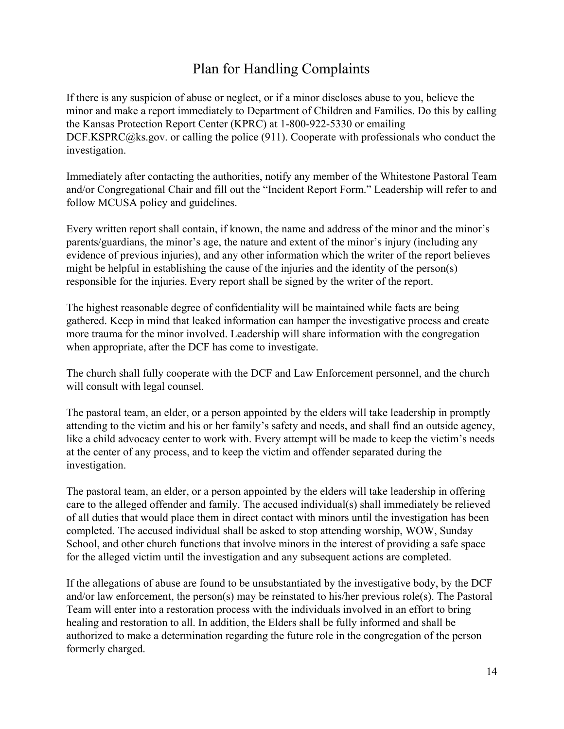### Plan for Handling Complaints

If there is any suspicion of abuse or neglect, or if a minor discloses abuse to you, believe the minor and make a report immediately to Department of Children and Families. Do this by calling the Kansas Protection Report Center (KPRC) at 1-800-922-5330 or emailing DCF.KSPRC@ks.gov. or calling the police (911). Cooperate with professionals who conduct the investigation.

Immediately after contacting the authorities, notify any member of the Whitestone Pastoral Team and/or Congregational Chair and fill out the "Incident Report Form." Leadership will refer to and follow MCUSA policy and guidelines.

Every written report shall contain, if known, the name and address of the minor and the minor's parents/guardians, the minor's age, the nature and extent of the minor's injury (including any evidence of previous injuries), and any other information which the writer of the report believes might be helpful in establishing the cause of the injuries and the identity of the person(s) responsible for the injuries. Every report shall be signed by the writer of the report.

The highest reasonable degree of confidentiality will be maintained while facts are being gathered. Keep in mind that leaked information can hamper the investigative process and create more trauma for the minor involved. Leadership will share information with the congregation when appropriate, after the DCF has come to investigate.

The church shall fully cooperate with the DCF and Law Enforcement personnel, and the church will consult with legal counsel.

The pastoral team, an elder, or a person appointed by the elders will take leadership in promptly attending to the victim and his or her family's safety and needs, and shall find an outside agency, like a child advocacy center to work with. Every attempt will be made to keep the victim's needs at the center of any process, and to keep the victim and offender separated during the investigation.

The pastoral team, an elder, or a person appointed by the elders will take leadership in offering care to the alleged offender and family. The accused individual(s) shall immediately be relieved of all duties that would place them in direct contact with minors until the investigation has been completed. The accused individual shall be asked to stop attending worship, WOW, Sunday School, and other church functions that involve minors in the interest of providing a safe space for the alleged victim until the investigation and any subsequent actions are completed.

If the allegations of abuse are found to be unsubstantiated by the investigative body, by the DCF and/or law enforcement, the person(s) may be reinstated to his/her previous role(s). The Pastoral Team will enter into a restoration process with the individuals involved in an effort to bring healing and restoration to all. In addition, the Elders shall be fully informed and shall be authorized to make a determination regarding the future role in the congregation of the person formerly charged.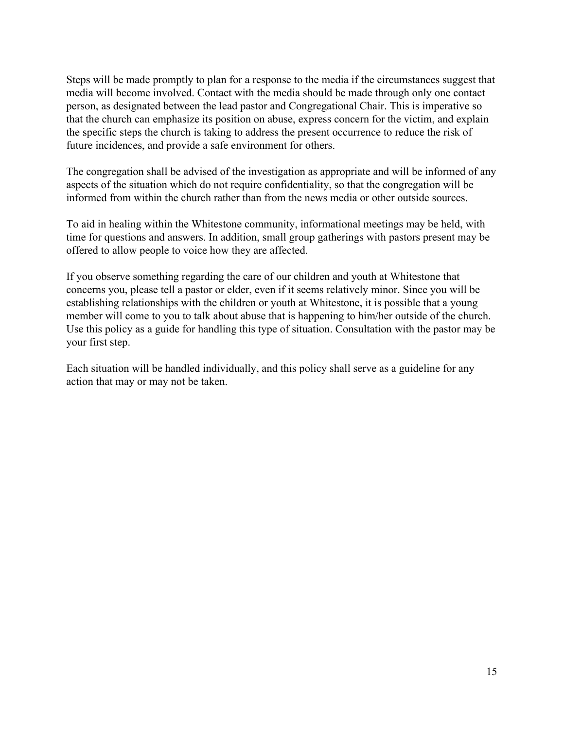Steps will be made promptly to plan for a response to the media if the circumstances suggest that media will become involved. Contact with the media should be made through only one contact person, as designated between the lead pastor and Congregational Chair. This is imperative so that the church can emphasize its position on abuse, express concern for the victim, and explain the specific steps the church is taking to address the present occurrence to reduce the risk of future incidences, and provide a safe environment for others.

The congregation shall be advised of the investigation as appropriate and will be informed of any aspects of the situation which do not require confidentiality, so that the congregation will be informed from within the church rather than from the news media or other outside sources.

To aid in healing within the Whitestone community, informational meetings may be held, with time for questions and answers. In addition, small group gatherings with pastors present may be offered to allow people to voice how they are affected.

If you observe something regarding the care of our children and youth at Whitestone that concerns you, please tell a pastor or elder, even if it seems relatively minor. Since you will be establishing relationships with the children or youth at Whitestone, it is possible that a young member will come to you to talk about abuse that is happening to him/her outside of the church. Use this policy as a guide for handling this type of situation. Consultation with the pastor may be your first step.

Each situation will be handled individually, and this policy shall serve as a guideline for any action that may or may not be taken.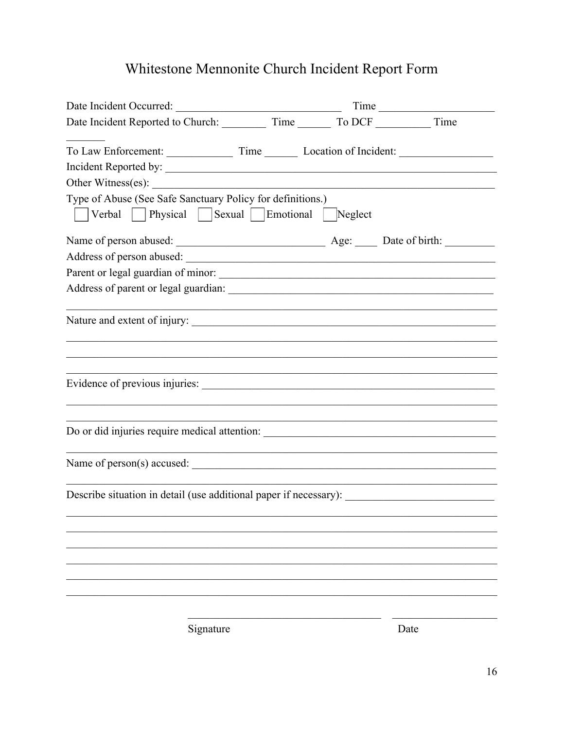# Whitestone Mennonite Church Incident Report Form

| Date Incident Occurred: Time                                                                           |  |  |  |  |  |  |  |  |
|--------------------------------------------------------------------------------------------------------|--|--|--|--|--|--|--|--|
| Date Incident Reported to Church: Time Time To DCF Time                                                |  |  |  |  |  |  |  |  |
| Incident Reported by:                                                                                  |  |  |  |  |  |  |  |  |
| Other Witness(es):                                                                                     |  |  |  |  |  |  |  |  |
| Type of Abuse (See Safe Sanctuary Policy for definitions.)<br>Verbal Physical Sexual Emotional Neglect |  |  |  |  |  |  |  |  |
|                                                                                                        |  |  |  |  |  |  |  |  |
|                                                                                                        |  |  |  |  |  |  |  |  |
| Parent or legal guardian of minor:                                                                     |  |  |  |  |  |  |  |  |
|                                                                                                        |  |  |  |  |  |  |  |  |
|                                                                                                        |  |  |  |  |  |  |  |  |
|                                                                                                        |  |  |  |  |  |  |  |  |
|                                                                                                        |  |  |  |  |  |  |  |  |
| Do or did injuries require medical attention: ___________________________________                      |  |  |  |  |  |  |  |  |
|                                                                                                        |  |  |  |  |  |  |  |  |
|                                                                                                        |  |  |  |  |  |  |  |  |
| Describe situation in detail (use additional paper if necessary):                                      |  |  |  |  |  |  |  |  |
|                                                                                                        |  |  |  |  |  |  |  |  |
|                                                                                                        |  |  |  |  |  |  |  |  |
|                                                                                                        |  |  |  |  |  |  |  |  |
|                                                                                                        |  |  |  |  |  |  |  |  |
|                                                                                                        |  |  |  |  |  |  |  |  |
|                                                                                                        |  |  |  |  |  |  |  |  |
|                                                                                                        |  |  |  |  |  |  |  |  |

Signature

Date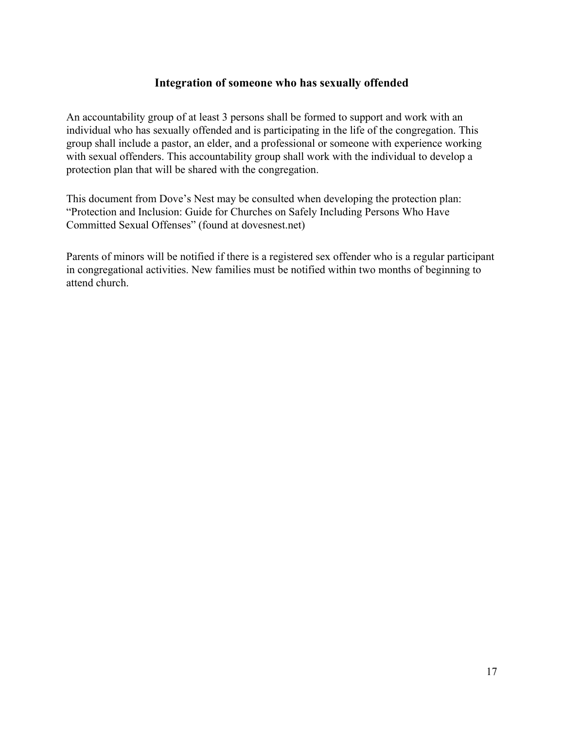#### **Integration of someone who has sexually offended**

An accountability group of at least 3 persons shall be formed to support and work with an individual who has sexually offended and is participating in the life of the congregation. This group shall include a pastor, an elder, and a professional or someone with experience working with sexual offenders. This accountability group shall work with the individual to develop a protection plan that will be shared with the congregation.

This document from Dove's Nest may be consulted when developing the protection plan: "Protection and Inclusion: Guide for Churches on Safely Including Persons Who Have Committed Sexual Offenses" (found at dovesnest.net)

Parents of minors will be notified if there is a registered sex offender who is a regular participant in congregational activities. New families must be notified within two months of beginning to attend church.